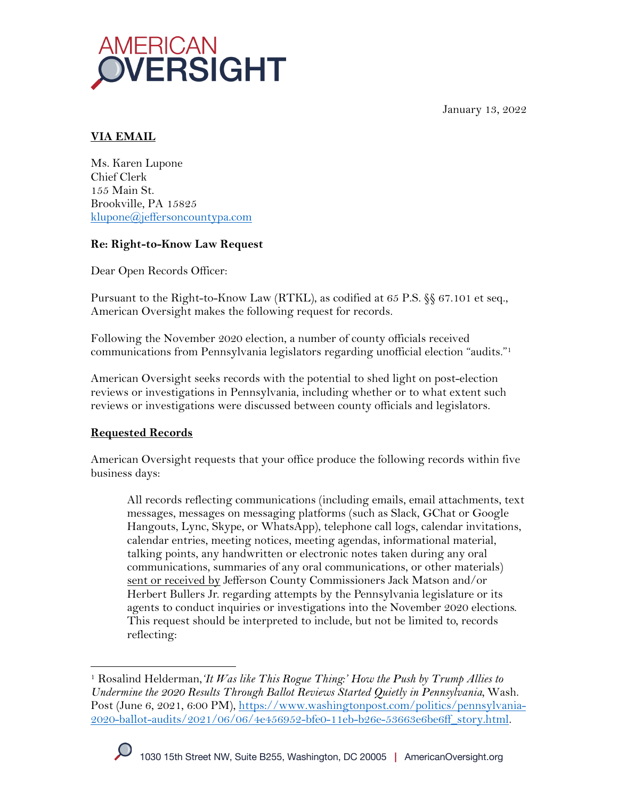January 13, 2022



# **VIA EMAIL**

Ms. Karen Lupone Chief Clerk 155 Main St. Brookville, PA 15825 klupone@jeffersoncountypa.com

## **Re: Right-to-Know Law Request**

Dear Open Records Officer:

Pursuant to the Right-to-Know Law (RTKL), as codified at 65 P.S. §§ 67.101 et seq., American Oversight makes the following request for records.

Following the November 2020 election, a number of county officials received communications from Pennsylvania legislators regarding unofficial election "audits."1

American Oversight seeks records with the potential to shed light on post-election reviews or investigations in Pennsylvania, including whether or to what extent such reviews or investigations were discussed between county officials and legislators.

## **Requested Records**

American Oversight requests that your office produce the following records within five business days:

All records reflecting communications (including emails, email attachments, text messages, messages on messaging platforms (such as Slack, GChat or Google Hangouts, Lync, Skype, or WhatsApp), telephone call logs, calendar invitations, calendar entries, meeting notices, meeting agendas, informational material, talking points, any handwritten or electronic notes taken during any oral communications, summaries of any oral communications, or other materials) sent or received by Jefferson County Commissioners Jack Matson and/or Herbert Bullers Jr. regarding attempts by the Pennsylvania legislature or its agents to conduct inquiries or investigations into the November 2020 elections. This request should be interpreted to include, but not be limited to, records reflecting:

<sup>1</sup> Rosalind Helderman,*'It Was like This Rogue Thing:' How the Push by Trump Allies to Undermine the 2020 Results Through Ballot Reviews Started Quietly in Pennsylvania,* Wash. Post (June 6, 2021, 6:00 PM), https://www.washingtonpost.com/politics/pennsylvania-2020-ballot-audits/2021/06/06/4e456952-bfe0-11eb-b26e-53663e6be6ff\_story.html.

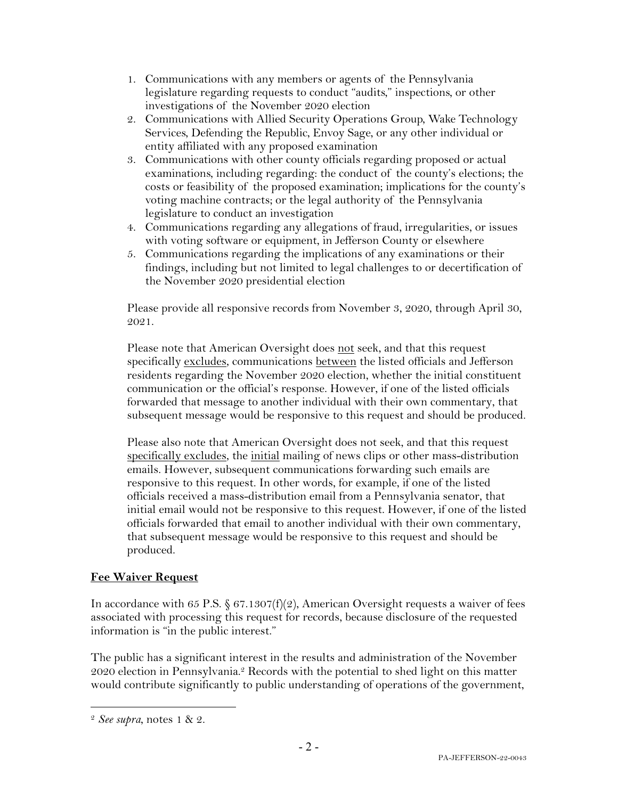- 1. Communications with any members or agents of the Pennsylvania legislature regarding requests to conduct "audits," inspections, or other investigations of the November 2020 election
- 2. Communications with Allied Security Operations Group, Wake Technology Services, Defending the Republic, Envoy Sage, or any other individual or entity affiliated with any proposed examination
- 3. Communications with other county officials regarding proposed or actual examinations, including regarding: the conduct of the county's elections; the costs or feasibility of the proposed examination; implications for the county's voting machine contracts; or the legal authority of the Pennsylvania legislature to conduct an investigation
- 4. Communications regarding any allegations of fraud, irregularities, or issues with voting software or equipment, in Jefferson County or elsewhere
- 5. Communications regarding the implications of any examinations or their findings, including but not limited to legal challenges to or decertification of the November 2020 presidential election

Please provide all responsive records from November 3, 2020, through April 30, 2021.

Please note that American Oversight does not seek, and that this request specifically excludes, communications between the listed officials and Jefferson residents regarding the November 2020 election, whether the initial constituent communication or the official's response. However, if one of the listed officials forwarded that message to another individual with their own commentary, that subsequent message would be responsive to this request and should be produced.

Please also note that American Oversight does not seek, and that this request specifically excludes, the initial mailing of news clips or other mass-distribution emails. However, subsequent communications forwarding such emails are responsive to this request. In other words, for example, if one of the listed officials received a mass-distribution email from a Pennsylvania senator, that initial email would not be responsive to this request. However, if one of the listed officials forwarded that email to another individual with their own commentary, that subsequent message would be responsive to this request and should be produced.

#### **Fee Waiver Request**

In accordance with 65 P.S.  $\S 67.1307(f)(2)$ , American Oversight requests a waiver of fees associated with processing this request for records, because disclosure of the requested information is "in the public interest."

The public has a significant interest in the results and administration of the November 2020 election in Pennsylvania.<sup>2</sup> Records with the potential to shed light on this matter would contribute significantly to public understanding of operations of the government,

<sup>2</sup> *See supra*, notes 1 & 2.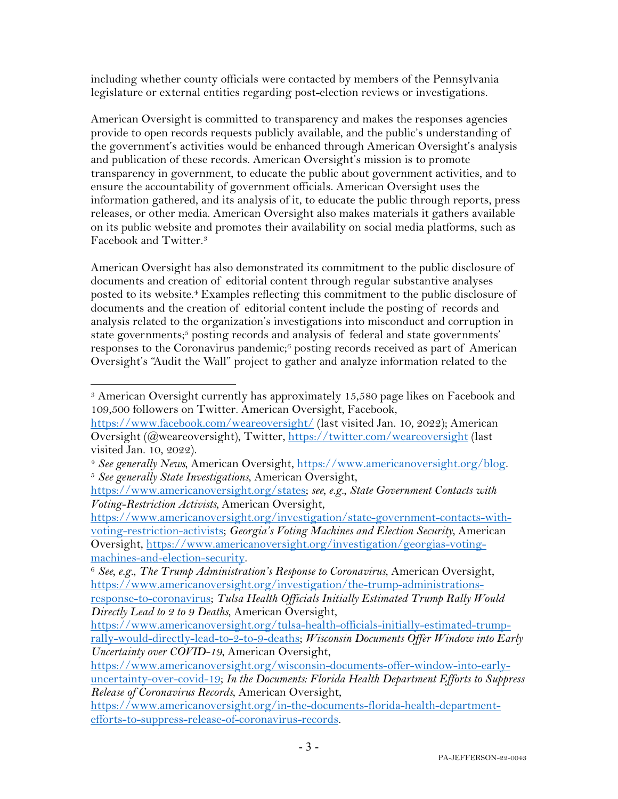including whether county officials were contacted by members of the Pennsylvania legislature or external entities regarding post-election reviews or investigations.

American Oversight is committed to transparency and makes the responses agencies provide to open records requests publicly available, and the public's understanding of the government's activities would be enhanced through American Oversight's analysis and publication of these records. American Oversight's mission is to promote transparency in government, to educate the public about government activities, and to ensure the accountability of government officials. American Oversight uses the information gathered, and its analysis of it, to educate the public through reports, press releases, or other media. American Oversight also makes materials it gathers available on its public website and promotes their availability on social media platforms, such as Facebook and Twitter.3

American Oversight has also demonstrated its commitment to the public disclosure of documents and creation of editorial content through regular substantive analyses posted to its website.<sup>4</sup> Examples reflecting this commitment to the public disclosure of documents and the creation of editorial content include the posting of records and analysis related to the organization's investigations into misconduct and corruption in state governments; <sup>5</sup> posting records and analysis of federal and state governments' responses to the Coronavirus pandemic;6 posting records received as part of American Oversight's "Audit the Wall" project to gather and analyze information related to the

<sup>3</sup> American Oversight currently has approximately 15,580 page likes on Facebook and 109,500 followers on Twitter. American Oversight, Facebook,

https://www.facebook.com/weareoversight/ (last visited Jan. 10, 2022); American Oversight (@weareoversight), Twitter, https://twitter.com/weareoversight (last visited Jan. 10, 2022).

<sup>4</sup> *See generally News*, American Oversight, https://www.americanoversight.org/blog. 5 *See generally State Investigations*, American Oversight,

https://www.americanoversight.org/states; *see, e.g.*, *State Government Contacts with Voting-Restriction Activists,* American Oversight,

https://www.americanoversight.org/investigation/state-government-contacts-withvoting-restriction-activists; *Georgia's Voting Machines and Election Security*, American Oversight, https://www.americanoversight.org/investigation/georgias-voting-

machines-and-election-security. 6 *See, e.g.*, *The Trump Administration's Response to Coronavirus*, American Oversight, https://www.americanoversight.org/investigation/the-trump-administrations-

response-to-coronavirus; *Tulsa Health Officials Initially Estimated Trump Rally Would Directly Lead to 2 to 9 Deaths*, American Oversight,

https://www.americanoversight.org/tulsa-health-officials-initially-estimated-trumprally-would-directly-lead-to-2-to-9-deaths; *Wisconsin Documents Offer Window into Early Uncertainty over COVID-19*, American Oversight,

https://www.americanoversight.org/wisconsin-documents-offer-window-into-earlyuncertainty-over-covid-19; *In the Documents: Florida Health Department Efforts to Suppress Release of Coronavirus Records*, American Oversight,

https://www.americanoversight.org/in-the-documents-florida-health-departmentefforts-to-suppress-release-of-coronavirus-records.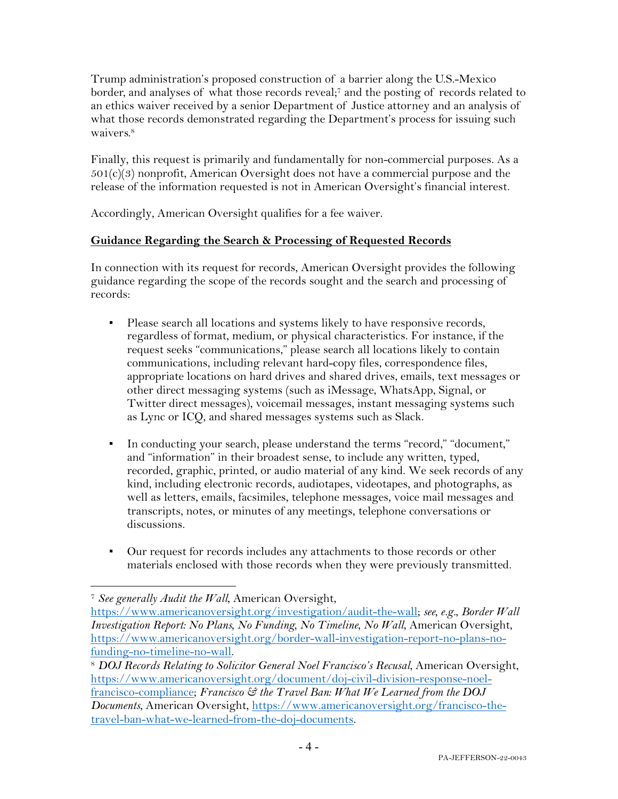Trump administration's proposed construction of a barrier along the U.S.-Mexico border, and analyses of what those records reveal;7 and the posting of records related to an ethics waiver received by a senior Department of Justice attorney and an analysis of what those records demonstrated regarding the Department's process for issuing such waivers.8

Finally, this request is primarily and fundamentally for non-commercial purposes. As a  $501(c)(3)$  nonprofit, American Oversight does not have a commercial purpose and the release of the information requested is not in American Oversight's financial interest.

Accordingly, American Oversight qualifies for a fee waiver.

## **Guidance Regarding the Search & Processing of Requested Records**

In connection with its request for records, American Oversight provides the following guidance regarding the scope of the records sought and the search and processing of records:

- Please search all locations and systems likely to have responsive records, regardless of format, medium, or physical characteristics. For instance, if the request seeks "communications," please search all locations likely to contain communications, including relevant hard-copy files, correspondence files, appropriate locations on hard drives and shared drives, emails, text messages or other direct messaging systems (such as iMessage, WhatsApp, Signal, or Twitter direct messages), voicemail messages, instant messaging systems such as Lync or ICQ, and shared messages systems such as Slack.
- In conducting your search, please understand the terms "record," "document," and "information" in their broadest sense, to include any written, typed, recorded, graphic, printed, or audio material of any kind. We seek records of any kind, including electronic records, audiotapes, videotapes, and photographs, as well as letters, emails, facsimiles, telephone messages, voice mail messages and transcripts, notes, or minutes of any meetings, telephone conversations or discussions.
- Our request for records includes any attachments to those records or other materials enclosed with those records when they were previously transmitted.

<sup>7</sup> *See generally Audit the Wall*, American Oversight,

https://www.americanoversight.org/investigation/audit-the-wall; *see, e.g.*, *Border Wall Investigation Report: No Plans, No Funding, No Timeline, No Wall*, American Oversight, https://www.americanoversight.org/border-wall-investigation-report-no-plans-nofunding-no-timeline-no-wall. 8 *DOJ Records Relating to Solicitor General Noel Francisco's Recusal*, American Oversight,

https://www.americanoversight.org/document/doj-civil-division-response-noelfrancisco-compliance; *Francisco & the Travel Ban: What We Learned from the DOJ Documents*, American Oversight, https://www.americanoversight.org/francisco-thetravel-ban-what-we-learned-from-the-doj-documents.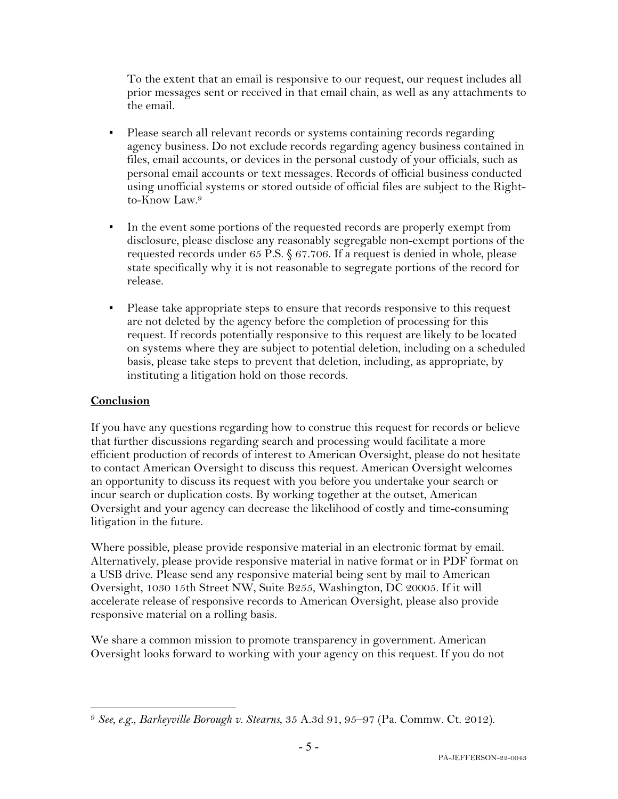To the extent that an email is responsive to our request, our request includes all prior messages sent or received in that email chain, as well as any attachments to the email.

- Please search all relevant records or systems containing records regarding agency business. Do not exclude records regarding agency business contained in files, email accounts, or devices in the personal custody of your officials, such as personal email accounts or text messages. Records of official business conducted using unofficial systems or stored outside of official files are subject to the Rightto-Know Law.9
- In the event some portions of the requested records are properly exempt from disclosure, please disclose any reasonably segregable non-exempt portions of the requested records under 65 P.S. § 67.706. If a request is denied in whole, please state specifically why it is not reasonable to segregate portions of the record for release.
- Please take appropriate steps to ensure that records responsive to this request are not deleted by the agency before the completion of processing for this request. If records potentially responsive to this request are likely to be located on systems where they are subject to potential deletion, including on a scheduled basis, please take steps to prevent that deletion, including, as appropriate, by instituting a litigation hold on those records.

#### **Conclusion**

If you have any questions regarding how to construe this request for records or believe that further discussions regarding search and processing would facilitate a more efficient production of records of interest to American Oversight, please do not hesitate to contact American Oversight to discuss this request. American Oversight welcomes an opportunity to discuss its request with you before you undertake your search or incur search or duplication costs. By working together at the outset, American Oversight and your agency can decrease the likelihood of costly and time-consuming litigation in the future.

Where possible, please provide responsive material in an electronic format by email. Alternatively, please provide responsive material in native format or in PDF format on a USB drive. Please send any responsive material being sent by mail to American Oversight, 1030 15th Street NW, Suite B255, Washington, DC 20005. If it will accelerate release of responsive records to American Oversight, please also provide responsive material on a rolling basis.

We share a common mission to promote transparency in government. American Oversight looks forward to working with your agency on this request. If you do not

<sup>9</sup> *See, e.g.*, *Barkeyville Borough v. Stearns*, 35 A.3d 91, 95–97 (Pa. Commw. Ct. 2012).